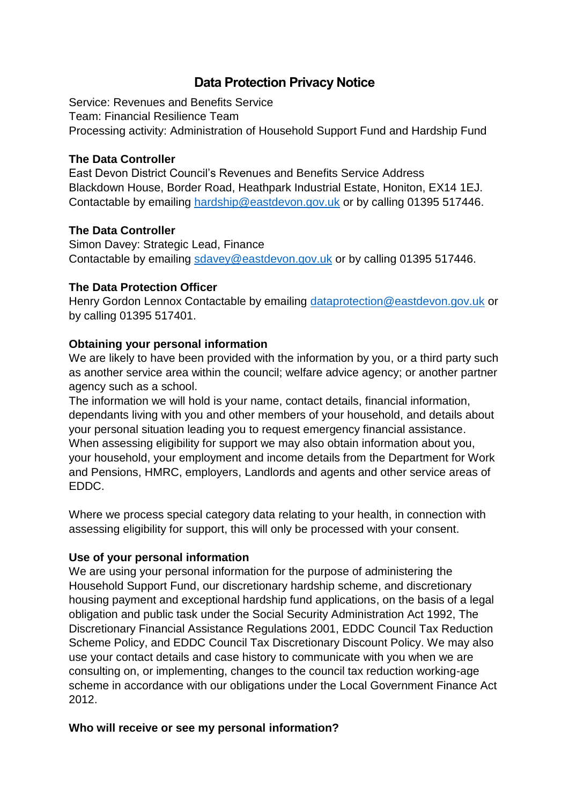# **Data Protection Privacy Notice**

Service: Revenues and Benefits Service Team: Financial Resilience Team Processing activity: Administration of Household Support Fund and Hardship Fund

#### **The Data Controller**

East Devon District Council's Revenues and Benefits Service Address Blackdown House, Border Road, Heathpark Industrial Estate, Honiton, EX14 1EJ. Contactable by emailing [hardship@eastdevon.gov.uk](mailto:hardship@eastdevon.gov.uk) or by calling 01395 517446.

## **The Data Controller**

Simon Davey: Strategic Lead, Finance Contactable by emailing [sdavey@eastdevon.gov.uk](mailto:sdavey@eastdevon.gov.uk) or by calling 01395 517446.

## **The Data Protection Officer**

Henry Gordon Lennox Contactable by emailing [dataprotection@eastdevon.gov.uk](mailto:dataprotection@eastdevon.gov.uk) or by calling 01395 517401.

# **Obtaining your personal information**

We are likely to have been provided with the information by you, or a third party such as another service area within the council; welfare advice agency; or another partner agency such as a school.

The information we will hold is your name, contact details, financial information, dependants living with you and other members of your household, and details about your personal situation leading you to request emergency financial assistance. When assessing eligibility for support we may also obtain information about you, your household, your employment and income details from the Department for Work and Pensions, HMRC, employers, Landlords and agents and other service areas of EDDC.

Where we process special category data relating to your health, in connection with assessing eligibility for support, this will only be processed with your consent.

# **Use of your personal information**

We are using your personal information for the purpose of administering the Household Support Fund, our discretionary hardship scheme, and discretionary housing payment and exceptional hardship fund applications, on the basis of a legal obligation and public task under the Social Security Administration Act 1992, The Discretionary Financial Assistance Regulations 2001, EDDC Council Tax Reduction Scheme Policy, and EDDC Council Tax Discretionary Discount Policy. We may also use your contact details and case history to communicate with you when we are consulting on, or implementing, changes to the council tax reduction working-age scheme in accordance with our obligations under the Local Government Finance Act 2012.

# **Who will receive or see my personal information?**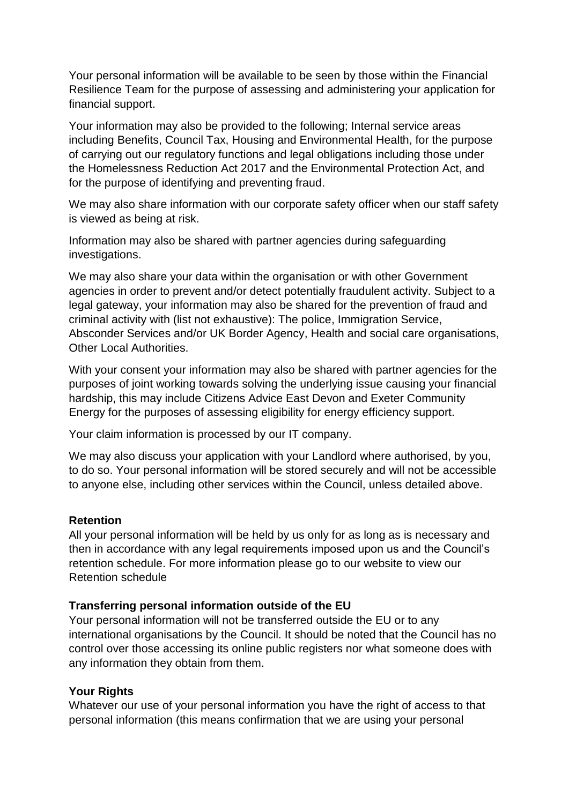Your personal information will be available to be seen by those within the Financial Resilience Team for the purpose of assessing and administering your application for financial support.

Your information may also be provided to the following; Internal service areas including Benefits, Council Tax, Housing and Environmental Health, for the purpose of carrying out our regulatory functions and legal obligations including those under the Homelessness Reduction Act 2017 and the Environmental Protection Act, and for the purpose of identifying and preventing fraud.

We may also share information with our corporate safety officer when our staff safety is viewed as being at risk.

Information may also be shared with partner agencies during safeguarding investigations.

We may also share your data within the organisation or with other Government agencies in order to prevent and/or detect potentially fraudulent activity. Subject to a legal gateway, your information may also be shared for the prevention of fraud and criminal activity with (list not exhaustive): The police, Immigration Service, Absconder Services and/or UK Border Agency, Health and social care organisations, Other Local Authorities.

With your consent your information may also be shared with partner agencies for the purposes of joint working towards solving the underlying issue causing your financial hardship, this may include Citizens Advice East Devon and Exeter Community Energy for the purposes of assessing eligibility for energy efficiency support.

Your claim information is processed by our IT company.

We may also discuss your application with your Landlord where authorised, by you, to do so. Your personal information will be stored securely and will not be accessible to anyone else, including other services within the Council, unless detailed above.

#### **Retention**

All your personal information will be held by us only for as long as is necessary and then in accordance with any legal requirements imposed upon us and the Council's retention schedule. For more information please go to our website to view our Retention schedule

#### **Transferring personal information outside of the EU**

Your personal information will not be transferred outside the EU or to any international organisations by the Council. It should be noted that the Council has no control over those accessing its online public registers nor what someone does with any information they obtain from them.

#### **Your Rights**

Whatever our use of your personal information you have the right of access to that personal information (this means confirmation that we are using your personal